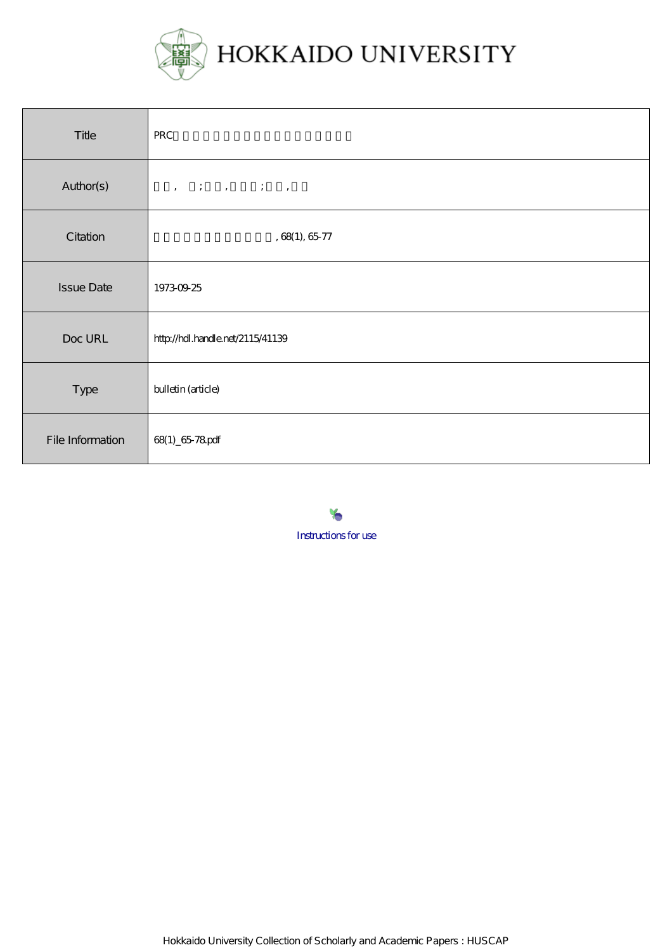

| Title             | <b>PRC</b>                                                                                                                                                                                                                                   |
|-------------------|----------------------------------------------------------------------------------------------------------------------------------------------------------------------------------------------------------------------------------------------|
| Author(s)         | $\begin{array}{cccccccccc} \bullet & \circ & \circ & \circ & \circ & \circ & \circ & \circ & \circ & \circ \end{array} \qquad \begin{array}{cccccccccc} \bullet & \circ & \circ & \circ & \circ & \circ & \circ & \circ & \circ \end{array}$ |
| Citation          | , $68(1)$ , $65\,77$                                                                                                                                                                                                                         |
| <b>Issue Date</b> | 19730925                                                                                                                                                                                                                                     |
| Doc URL           | http://hdl.handle.net/2115/41139                                                                                                                                                                                                             |
| Type              | bulletin (article)                                                                                                                                                                                                                           |
| File Information  | 68(1) 6578 pdf                                                                                                                                                                                                                               |

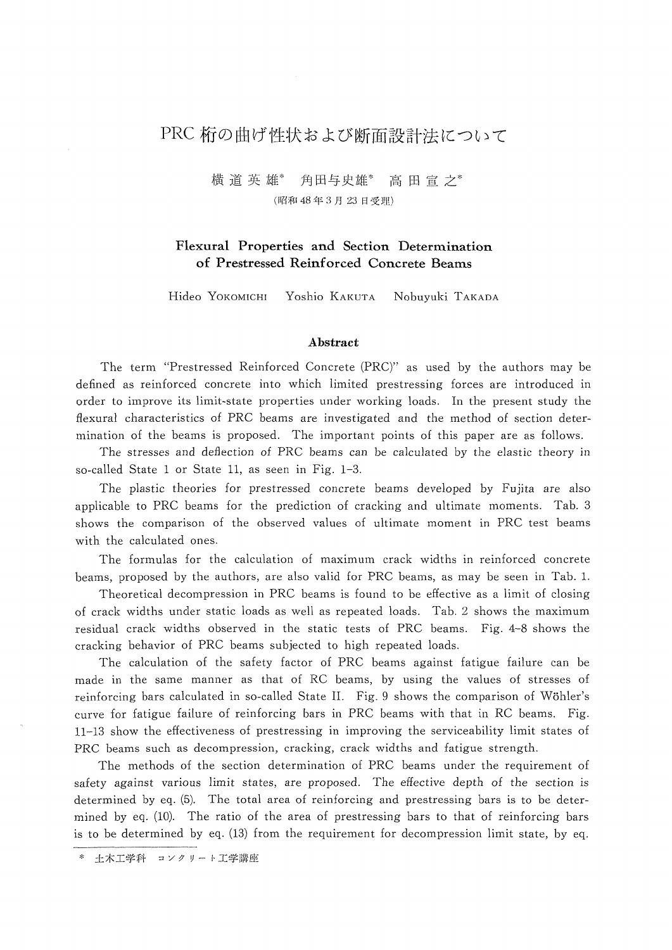# PRC 桁の曲げ性状および断面設計法について

横道英 雄\* 角田与史雄\* 高田宣之\* (昭和48年3月23日受理)

## Flexural Properties and Section Determination of Prestressed Reinforced Concrete Beams

Hideo YOKOMICHI Yoshio KAKUTA Nobuyuki TAKADA

#### Abstract

 The term "Prestressed Reinforced Concrete (PRC)" as used by the authors may be defined as reinforced concrete into which limited prestressing forces are introduced in order to improve its limit-state properties under working loads. ln the present study the flexural characteristics of PRC beams are investigated and the method of section deter mination of the beams is proposed. The important points of this paper are as follows.

The stresses and deflection of PRC beams can be calculated by the elastic theory in so-called State 1 or State 11, as seen in Fig. 1-3.

 The plastic theories for prestressed concrete beams developed by Fujita are also applicable to PRC beams for the prediction of cracking and ultimate moments. Tab. 3 shows the comparison of the observed values of ultimate moment in PRC test beams with the calculated ones.

 The formulas for the calculation of maximum crack widths in reinforced concrete beams, proposed by the authors, are also valid for PRC beams, as may be seen in Tab. !.

Theoretical decompression in PRC beams is found to be effective as a limit of closing of crack widths under static loads as well as repeated loads. Tab. 2 shows the maximum residual crack widths observed in the static tests of PRC beams. Fig. 4-8 shows the cracking behavior of PRC beams subjected to high repeated loads.

 The calculation of the safety factor of PRC beams against fatigue failure can be made in the same manner as that of RC beams, by using the values of stresses of reinforcing bars calculated in so-called State II. Fig. 9 shows the comparison of Wöhler's curve for fatigue failure of reinforcing bars in PRC beams with that in RC bearns. Fig. 1!-13 show the effectiveness of prestressing in improving the serviceability limit states of PRC beams such as decompression, cracking, crack widths and fatigue strength.

 The methods of the section determination of PRC beams under the requirement of safety against various limit states, are proposed. The effective depth of the section is determined by eq. (5). The total area of reinforcing and prestressing bars is to be deter mined by eq. (10). The ratio of the area of prestressing bars to that of reinforcing bars is to be determined by eq. (!3) from the requirement for decompression limit state, by eq.

土木工学科 コンクリート工学講座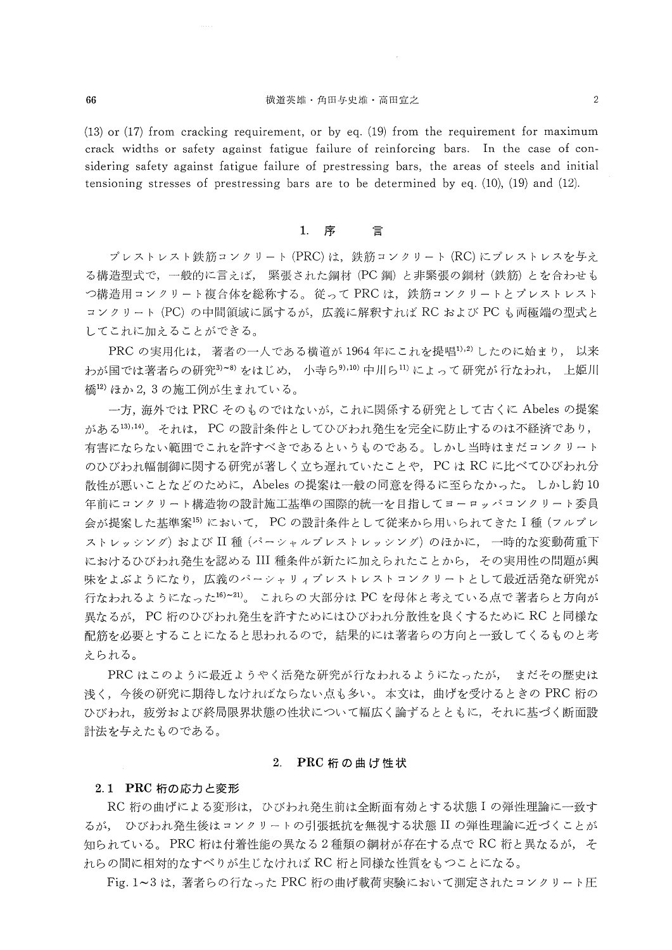#### 66 横道英雄・角田与史雄・高田宣之 <sup>2</sup>

(!3) or (17) from cracking requirement, or by eq. (!9) from the requirement for maximum crack widths or safety against fatigue failure of reinforcing bars. ln the case of con sidering safety against fatigue failure of prestressing bars, the areas of steels and initial tensioning stresses of prestressing bars are to be determined by eq.  $(10)$ ,  $(19)$  and  $(12)$ .

#### 1.序 言

 プレス1・レスト鉄筋コンクリート(PRC)は,鉄筋コンクリート(RC)にプレストレスを与え る構造型式で,一般的に言えば,緊張された鋼材(PC鋼)と非緊張の鋼材(鉄筋)とを合わせも つ構造用コンクリート複合体を総称する。従ってPRCは,鉄筋コンクリートとプレストレスト コンクリート (PC) の中間領域に属するが, 広義に解釈すれば RC および PC も両極端の型式と してこれに加えることができる。

PRCの実用化は、著者の一人である横道が 1964年にこれを提唱<sup>1),2)</sup> したのに始まり, 以来 わが国では著者らの研究<sup>3)~8)</sup>をはじめ,小寺ら<sup>9),10</sup> 中川ら<sup>11)</sup>によって研究が行なわれ,上姫川 橋12)ほか2,3の施工例が生まれている。

 一方,海外ではPRCそのものではないが,これに関係する研究として古くにAbelesの提案 がある<sup>13),14)</sup>。それは、PCの設計条件としてひびわれ発生を完全に防止するのは不経済であり, 有害にならない範囲でこれを許すべきであるというものである。しかし当時はまだコンクリート のひびわれ幅制御に関する研究が著しく立ち遅れていたことや、PCはRCに比べてひびわれ分 散性が悪いことなどのために,Abelesの提案は一般の同意を得るに至らなかった。しかし約10 年前にコンクリート構造物の設計施工基準の国際的統一を目指してヨーロッパコンクリート委員 会が提案した基準案<sup>15)</sup>において,PC の設計条件として従来から用いられてきた I 種 (フルプレ ストレッシング)および II 種 (パーシャルプレストレッシング) のほかに, 一時的な変動荷重下 におけるひびわれ発生を認める III 種条件が新たに加えられたことから, その実用性の問題が興 味をよぶようになり,広義のパーシャリィプレストレストコンクリートとして最近活発な研究が 行なわれるようになった<sup>16)~21</sup>)。 これらの大部分は PC を母体と考えている点で著者らと方向が 異なるが、PC 桁のひびわれ発生を許すためにはひびわれ分散性を良くするために RC と同様な 配筋を必要とすることになると思われるので,結果的には著者らの方向と一致してくるものと考 えられる。

PRCはこのように最近ようやく活発な研究が行なわれるようになったが、まだその歴史は 浅く, 今後の研究に期待しなければならない点も多い。本文は,曲げを受けるときの PRC 桁の ひびわれ,疲労および終局限界状態の性状について幅広く論ずるとともに,それに基づく断面設 計法を与えたものである。

#### 2.PRC桁の曲げ牲状

### 2.1 PRC 桁の応力と変形

 RC桁の曲げによる変形は,ひびわれ発生前は全断面有効とする状態1の弾性理論に一致す るが, ひびわれ発生後はコンクリートの引張抵抗を無視する状態IIの弾性理論に近づくことが 知られている。PRC桁は付着性能の異なる2種類の綱材が存在する点でRC桁と異なるが、そ れらの聞に相対的なすべりが生じなけれぼRC桁と同様な性質をもつことになる。

Fig.1~3は、著者らの行なったPRC桁の曲げ載荷実験において測定されたコンクリート圧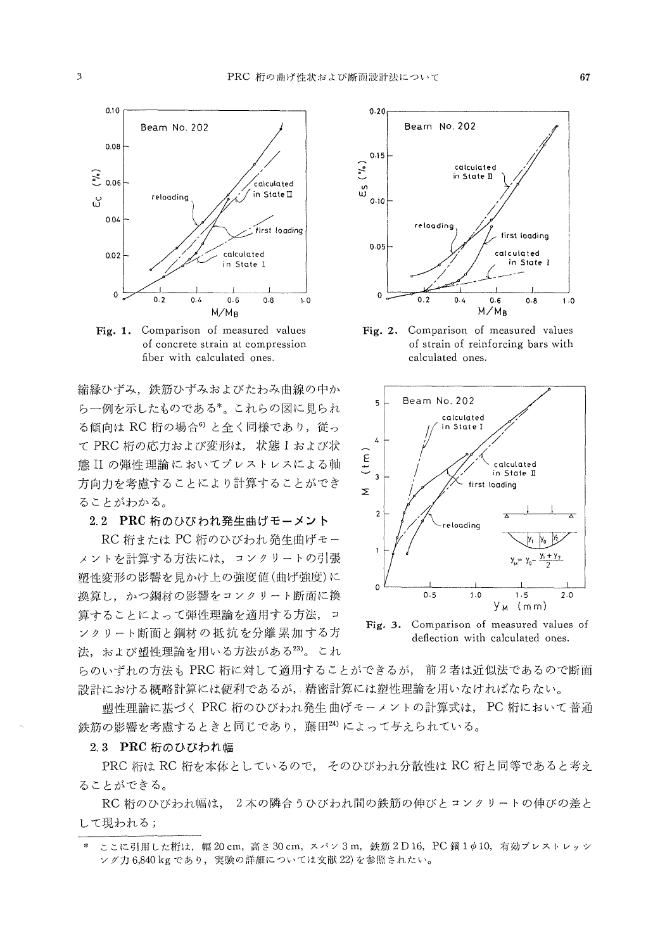

Fig. 1. Comparison of measured values of concrete strain at compression fiber with calculated ones.

縮縁ひずみ、鉄筋ひずみおよびたわみ曲線の中か ら一例を示したものである\*。これらの図に見られ る傾向は RC 桁の場合<sup>6</sup> と全く同様であり、従っ て PRC 桁の応力および変形は、状態 I および状 熊IIの弾性理論においてプレストレスによる軸 方向力を考慮することにより計算することができ ることがわかる。

2.2 PRC 桁のひびわれ発生曲げモーメント

RC 桁または PC 桁のひびわれ発生曲げモー メントを計算する方法には、コンクリートの引張 塑性変形の影響を見かけ上の強度値(曲げ強度)に 換算し、かつ鋼材の影響をコンクリート断面に換 算することによって弾性理論を適用する方法、コ ンクリート断面と鋼材の抵抗を分離累加する方 法、および塑性理論を用いる方法がある23)。これ



Fig. 2. Comparison of measured values of strain of reinforcing bars with calculated ones.



Fig. 3. Comparison of measured values of deflection with calculated ones.

らのいずれの方法も PRC 桁に対して適用することができるが、前2者は近似法であるので断面 設計における概略計算には便利であるが、精密計算には塑性理論を用いなければならない。

塑性理論に基づく PRC 桁のひびわれ発生曲げモーメントの計算式は、 PC 桁において普通 鉄筋の影響を考慮するときと同じであり、藤田24)によって与えられている。

### 2.3 PRC 桁のひびわれ幅

PRC 桁は RC 桁を本体としているので、そのひびわれ分散性は RC 桁と同等であると考え ることができる。

RC 桁のひびわれ幅は、2本の隣合うひびわれ間の鉄筋の伸びとコンクリートの伸びの差と して現われる;

ここに引用した桁は、幅 20 cm, 高さ 30 cm, スパン 3m, 鉄筋 2 D 16, PC 鋼 1 ¢ 10, 有効プレストレッシ ング力 6,840 kg であり,実験の詳細については文献 22)を参照されたい。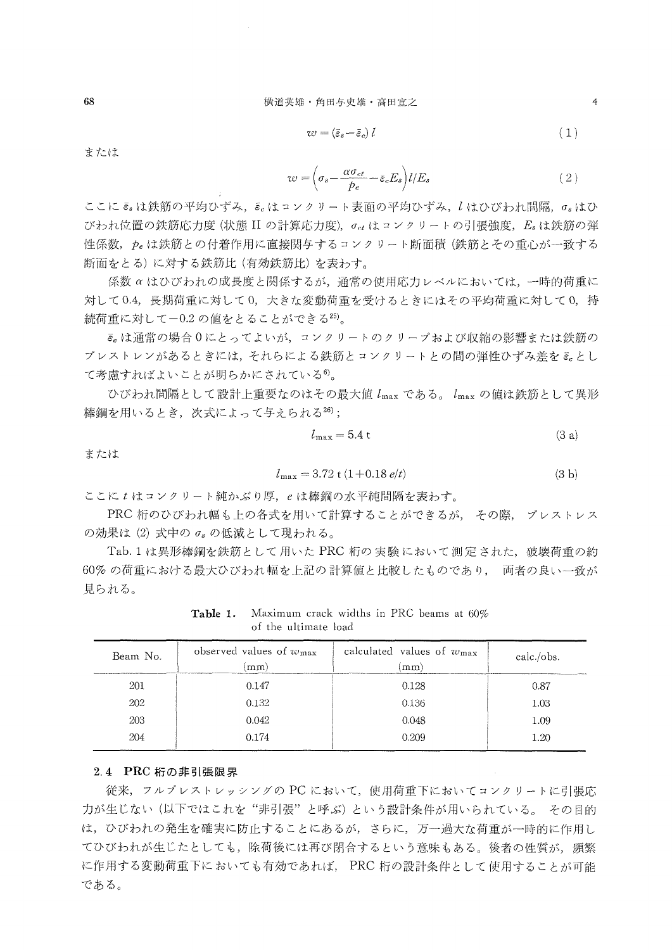$$
w = (\bar{\varepsilon}_s - \bar{\varepsilon}_c) l \tag{1}
$$

または

$$
w = \left(\sigma_s - \frac{\alpha \sigma_{ct}}{p_e} - \bar{\varepsilon}_c E_s\right) l / E_s \tag{2}
$$

ここに ε は鉄筋の平均ひずみ, ε はコンクリート表面の平均ひずみ, l はひびわれ間隔, σ はひ びわれ位置の鉄筋応力度(状態IIの計算応力度),  $\sigma_{ct}$ はコンクリートの引張強度,  $E_s$ は鉄筋の弾 性係数, peは鉄筋との付着作用に直接関与するコンクリート断面積(鉄筋とその重心が一致する 断面をとる)に対する鉄筋比(有効鉄筋比〉を表わす。

係数 α はひびわれの成長度と関係するが, 通常の使用応力レベルにおいては, 一時的荷重に 対して0.4,長期荷重に対して0,大きな変動荷重を受けるときにはその平均荷重に対して0,持 続荷重に対して一〇.2の値をとることができる25)。

 9cは通常の場合0にとってよいが,コンクリートのクリープおよび収縮の影響または鉄筋の プレストレンがあるときには,それらによる鉄筋とコンクリートとの間の弾性ひずみ差をε。とし て考慮すればよいことが明らかにされている6)。

ひびわれ間隔として設計上重要なのはその最大値 $l_{\rm max}$ である。 $l_{\rm max}$ の値は鉄筋として異形 棒鋼を用いるとき、次式によって与えられる26);

$$
l_{\text{max}} = 5.4 \text{ t} \tag{3 a}
$$

または

$$
l_{\text{max}} = 3.72 \text{ t} (1+0.18 \text{ e}/t) \tag{3 b}
$$

ここにtはコンクリート純かぶり厚, eは棒鋼の水平純間隔を表わす。

PRC 桁のひびわれ幅も上の各式を用いて計算することができるが、その際、プレストレス  $\mathcal{O}$ 効果は $(2)$ 式中 $\mathcal{O}$   $\sigma_s$  の低減として現われる。

 Tab.1は異形棒鋼を鉄筋として用いたPRC桁の実験において測定された,破壊荷重の約 60%の荷重における最大ひびわれ幅を上記の計算値と比較したものであり、両者の良い一致が 見られる。

| Beam No. | observed values of $w_{\text{max}}$<br>mm) | calculated values of $w_{\text{max}}$<br>mm) | calc./obs. |
|----------|--------------------------------------------|----------------------------------------------|------------|
| 201      | 0.147                                      | 0.128                                        | 0.87       |
| 202      | 0.132                                      | 0.136                                        | 1.03       |
| 203      | 0.042                                      | 0.048                                        | 1.09       |
| 204      | 0.174                                      | 0.209                                        | 1.20       |
|          |                                            |                                              |            |

Table 1. Maximum crack widths in PRC beams at  $60\%$ of the ultimate load

#### 2.4 PRC 桁の非引張限果

 従来,フルプレストレッシングのPCにおいて,使用荷重下においてコンクリートに引張応 力が生じない(以下ではこれを"非引張"と呼ぶ)という設計条件が用いられている。 その目的 は,ひびわれの発生を確実に防止することにあるが,さらに,万一過大な荷重が一時的に作用し てひびわれが生じたとしても、除荷後には再び閉合するという意味もある。後者の性質が、頻繁 に作用する変動荷重下においても有効であれば、PRC桁の設計条件として使用することが可能 である。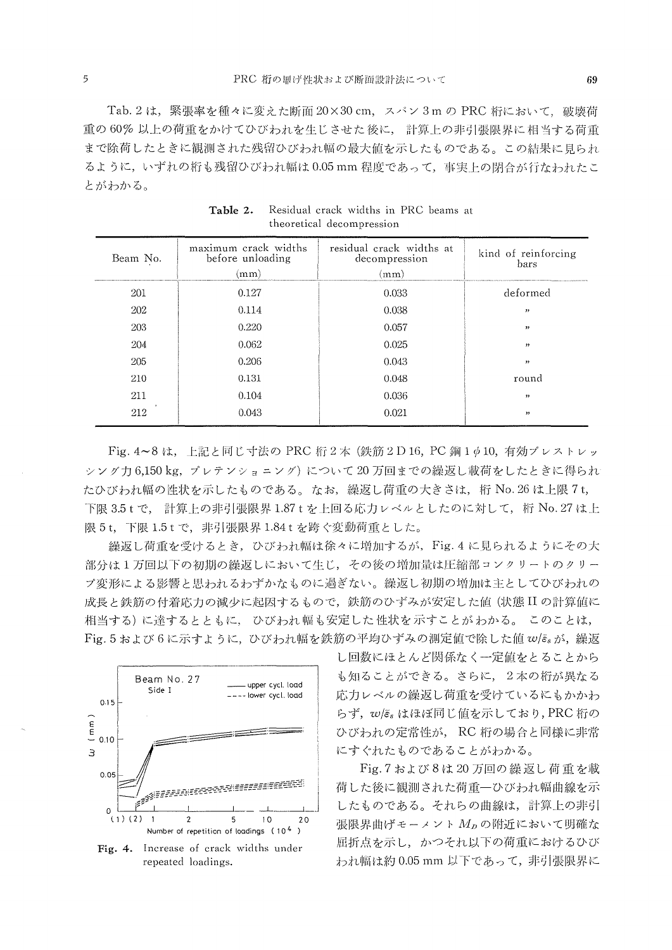Tab. 2 は、緊張率を種々に変えた断面 20×30 cm、スパン 3m の PRC 桁において、破壊荷 重の60%以上の荷重をかけてひびわれを生じさせた後に、計算上の非引張限界に相当する荷重 まで除荷したときに観測された残留ひびわれ幅の最大値を示したものである。この結果に見られ るように、いずれの桁も残留ひびわれ幅は0.05 mm 程度であって、事実上の閉合が行たわれたこ とがわかる。

| Beam No. | maximum crack widths<br>before unloading<br>(mm) | residual crack widths at<br>decompression<br>(mm) | kind of reinforcing<br>bars |
|----------|--------------------------------------------------|---------------------------------------------------|-----------------------------|
| 201      | 0.127                                            | 0.033                                             | deformed                    |
| 202      | 0.114                                            | 0.038                                             | ,,                          |
| 203      | 0.220                                            | 0.057                                             | ,,                          |
| 204      | 0.062                                            | 0.025                                             | , ,                         |
| 205      | 0.206                                            | 0.043                                             | $, \,$                      |
| 210      | 0.131                                            | 0.048                                             | round                       |
| 211      | 0.104                                            | 0.036                                             | ,,                          |
| 212      | 0.043                                            | 0.021                                             | , ,                         |

Table 2. Residual crack widths in PRC beams at theoretical decompression

Fig. 4~8は、上記と同じ寸法の PRC 桁2本 (鉄筋2D16, PC 鋼1Φ10, 有効プレストレッ シング力6,150 kg, プレテンショニング)について20万回までの繰返し載荷をしたときに得られ たひびわれ幅の性状を示したものである。なお, 繰返し荷重の大きさは, 桁 No. 26 は上限 7 t, 下限 3.5 t で, 計算上の非引張限界 1.87 t を上回る応力レベルとしたのに対して, 桁 No. 27 は上 限5t, 下限1.5tで、非引張限界1.84tを跨ぐ変動荷重とした。

繰返し荷重を受けるとき、ひびわれ幅は徐々に増加するが、Fig.4に見られるようにその大 部分は1万回以下の初期の繰返しにおいて生じ、その後の増加量は圧縮部コンクリートのクリー プ変形による影響と思われるわずかなものに過ぎない。繰返し初期の増加は主としてひびわれの 成長と鉄筋の付着応力の減少に起因するもので、鉄筋のひずみが安定した値(状態IIの計算値に 相当する)に達するとともに、 ひびわれ幅も安定した性状を示すことがわかる。 このことは, Fig. 5 および6に示すように、ひびわれ幅を鉄筋の平均ひずみの測定値で除した値 w/s。が、繰返



Fig. 4. Increase of crack widths under repeated loadings.

し回数にほとんど関係なく一定値をとることから も知ることができる。さらに、2本の桁が異なる 応力レベルの繰返し荷重を受けているにもかかわ らず、w/s。はほぼ同じ値を示しており、PRC桁の ひびわれの定常性が、RC 桁の場合と同様に非常 にすぐれたものであることがわかる。

Fig. 7 および8は20万回の繰返し荷重を載 荷した後に観測された荷重一ひびわれ幅曲線を示 したものである。それらの曲線は、計算上の非引 張限界曲げモーメント Mpの附近において明確な 屈折点を示し、かつそれ以下の荷重におけるひび われ幅は約 0.05 mm 以下であって、非引張限界に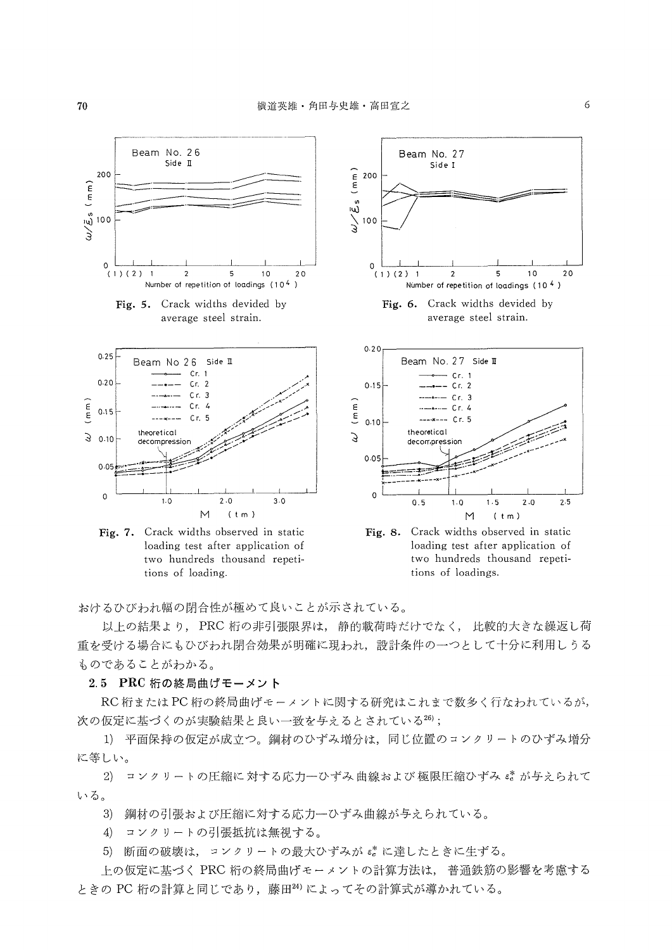

おけるひびわれ幅の閉合性が極めて良いことが示されている。

以上の結果より, PRC 桁の非引張限界は, 静的載荷時だけでなく, 比較的大きな繰返し荷 重を受ける場合にもひびわれ閉合効果が明確に現われ、設計条件の一つとして十分に利用しうる ものであることがわかる。

2.5 PRC 桁の終局曲げモーメント

RC 桁または PC 桁の終局曲げモーメントに関する研究はこれまで数多く行なわれているが, 次の仮定に基づくのが実験結果と良い一致を与えるとされている26);

1) 平面保持の仮定が成立つ。鋼材のひずみ増分は、同じ位置のコンクリートのひずみ増分 に等しい。

2) コンクリートの圧縮に対する応力一ひずみ曲線および極限圧縮ひずみ ぷ が与えられて いる。

鋼材の引張および圧縮に対する応力一ひずみ曲線が与えられている。  $3)$ 

コンクリートの引張抵抗は無視する。  $4)$ 

5) 断面の破壊は、コンクリートの最大ひずみが eをに達したときに生ずる。

上の仮定に基づく PRC 桁の終局曲げモーメントの計算方法は、普通鉄筋の影響を考慮する ときの PC 桁の計算と同じであり、藤田24)によってその計算式が導かれている。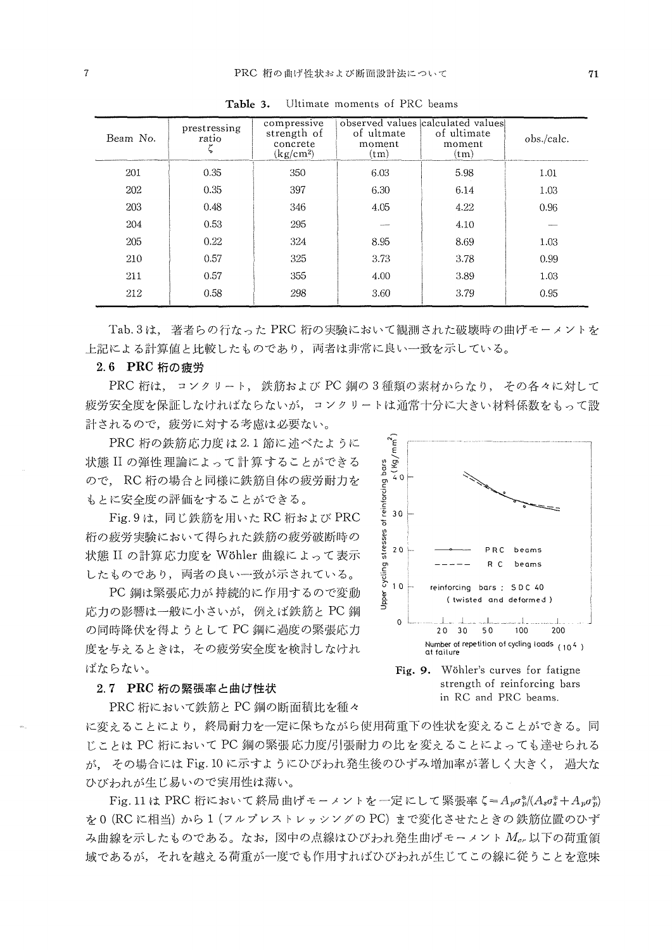| Beam No. | prestressing<br>ratio | compressive<br>strength of<br>concrete<br>(kg/cm <sup>2</sup> ) | of ultmate<br>moment<br>$(\text{tm})$ | observed values calculated values<br>of ultimate<br>moment<br>(tm) | obs./calc. |
|----------|-----------------------|-----------------------------------------------------------------|---------------------------------------|--------------------------------------------------------------------|------------|
| 201      | 0.35                  | 350                                                             | 6.03                                  | 5.98                                                               | 1.01       |
| 202      | 0.35                  | 397                                                             | 6.30                                  | 6.14                                                               | 1.03       |
| 203      | 0.48                  | 346                                                             | 4.05                                  | 4.22                                                               | 0.96       |
| 204      | 0.53                  | 295                                                             |                                       | 4.10                                                               |            |
| 205      | 0.22                  | 324                                                             | 8.95                                  | 8.69                                                               | 1.03       |
| 210      | 0.57                  | 325                                                             | 3.73                                  | 3.78                                                               | 0.99       |
| 211      | 0.57                  | 355                                                             | 4.00                                  | 3.89                                                               | 1.03       |
| 212      | 0.58                  | 298                                                             | 3.60                                  | 3.79                                                               | 0.95       |

Ultimate moments of PRC beams Table 3.

Tab.3は、著者らの行なった PRC 桁の実験において観測された破壊時の曲げモーメントを 上記による計算値と比較したものであり、両者は非常に良い一致を示している。

#### 2.6 PRC 桁の疲労

PRC 桁は、コンクリート、鉄筋および PC 鋼の3種類の素材からなり、その各々に対して 疲労安全度を保証しなければならないが、コンクリートは通常十分に大きい材料係数をもって設 計されるので、疲労に対する考慮は必要ない。

PRC 桁の鉄筋応力度は2.1 節に述べたように 状態 II の弾性理論によって計算することができる ので、RC 桁の場合と同様に鉄筋自体の疲労耐力を もとに安全度の評価をすることができる。

Fig. 9 は、同じ鉄筋を用いた RC 桁および PRC 桁の疲労実験において得られた鉄筋の疲労破断時の 状態 II の計算応力度を Wöhler 曲線によって表示 したものであり、両者の良い一致が示されている。

PC 鋼は緊張応力が持続的に作用するので変動 応力の影響は一般に小さいが、例えば鉄筋と PC 鋼 の同時降伏を得ようとして PC 鋼に過度の緊張応力 度を与えるときは、その疲労安全度を検討しなけれ ばならない。

#### 2.7 PRC 桁の緊張率と曲げ性状

PRC 桁において鉄筋と PC 鋼の断面積比を種々



Fig. 9. Wöhler's curves for fatigne strength of reinforcing bars in RC and PRC beams.

に変えることにより、終局耐力を一定に保ちながら使用荷重下の性状を変えることができる。同 じことは PC 桁において PC 鋼の緊張応力度/引張耐力の比を変えることによっても達せられる が、その場合には Fig. 10 に示すようにひびわれ発生後のひずみ増加率が著しく大きく、 渦大な ひびわれが生じ易いので実用性は薄い。

Fig. 11 は PRC 桁において終局曲げモーメントを一定にして緊張率  $\zeta = A_p \sigma_p^*/(A_s \sigma_s^* + A_p \sigma_p^*)$ を0 (RCに相当) から1 (フルプレストレッシングのPC) まで変化させたときの鉄筋位置のひず み曲線を示したものである。なお,図中の点線はひびわれ発生曲げモーメント Mer 以下の荷重領 域であるが、それを越える荷重が一度でも作用すればひびわれが生じてこの線に従うことを意味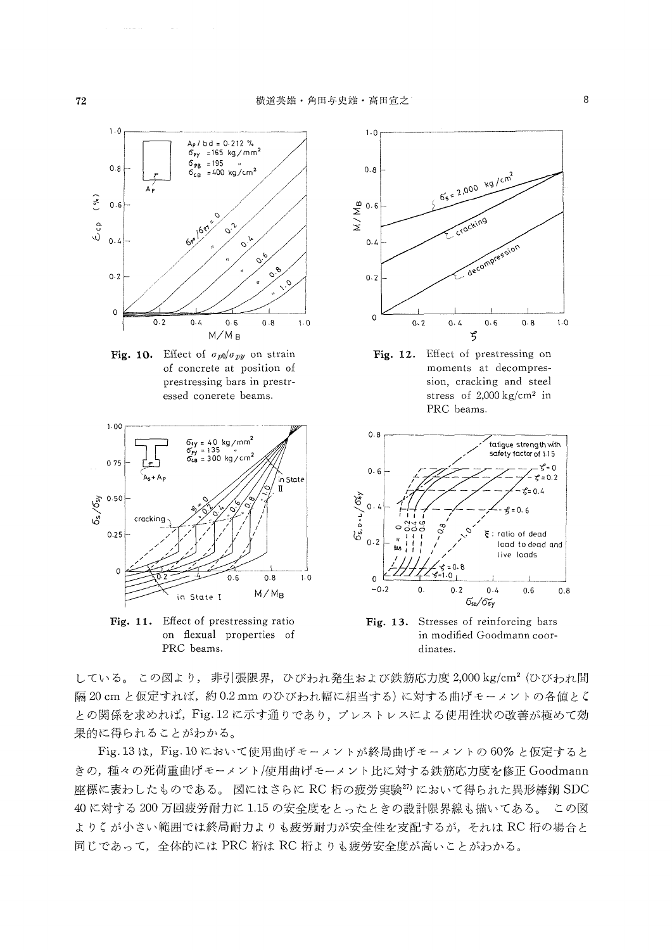

Fig. 10. Effect of  $\sigma_{p0}/\sigma_{py}$  on strain of concrete at position of prestressing bars in prestressed conerete beams.



Fig. 11. Effect of prestressing ratio on flexual properties of PRC beams.







Fig. 13. Stresses of reinforcing bars in modified Goodmann coordinates.

している。この図より, 非引張限界, ひびわれ発生および鉄筋応力度 2,000 kg/cm<sup>2</sup> (ひびわれ間 隔20cm と仮定すれば,約0.2mm のひびわれ幅に相当する)に対する曲げモーメントの各値とく との関係を求めれば、Fig. 12 に示す通りであり、プレストレスによる使用性状の改善が極めて効 果的に得られることがわかる。

Fig. 13 は、Fig. 10 において使用曲げモーメントが終局曲げモーメントの60%と仮定すると きの、種々の死荷重曲げモーメント/使用曲げモーメント比に対する鉄筋応力度を修正 Goodmann 座標に表わしたものである。 図にはさらに RC 桁の疲労実験<sup>27)</sup> において得られた異形棒鋼 SDC 40に対する200万回疲労耐力に1.15の安全度をとったときの設計限界線も描いてある。 この図 よりくが小さい範囲では終局耐力よりも疲労耐力が安全性を支配するが、それは RC 桁の場合と 同じであって、全体的には PRC 桁は RC 桁よりも疲労安全度が高いことがわかる。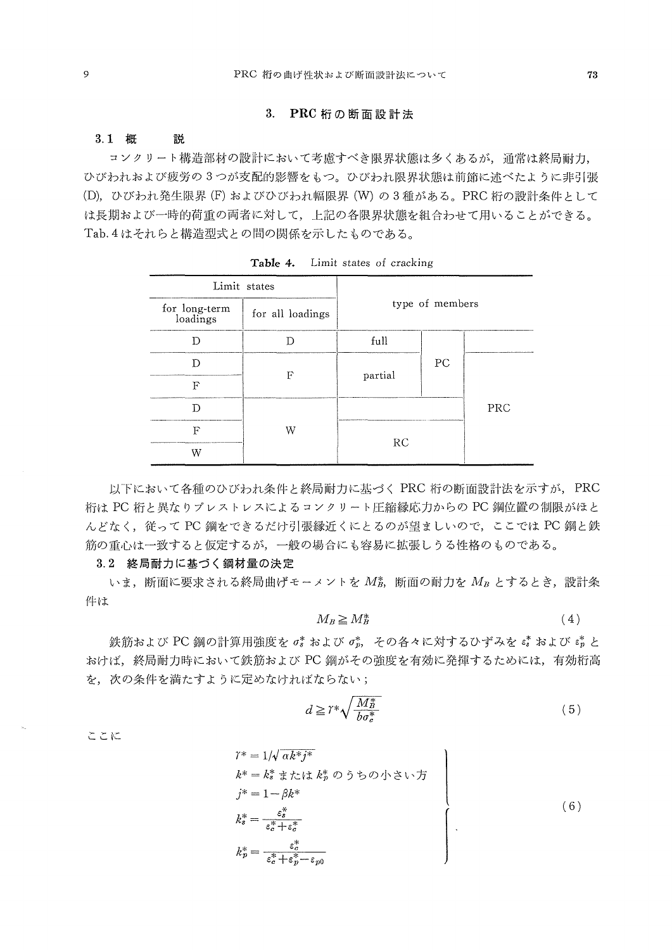### 3.PRC桁の断面設計法

#### 3.1 概 説

 コンクリート構造部材の設計において考慮すべき限界状態は多くあるが,通常は終局耐力, ひびわれおよび疲労の3つが支配的影響をもつ。ひびわれ限界状態は前節に述べたように非引張 (D), ひびわれ発生限界(F)およびひびわれ幅限界(W)の3種がある。 PRC 桁の設計条件として は長期および一時的荷重の両老に対して,上記の各限界状態を組合わせて用いることができる。 Tab,4はそれらと構造型式との間の関係を示したものである。

| Limit states              |                  |                 |    |     |
|---------------------------|------------------|-----------------|----|-----|
| for long-term<br>loadings | for all loadings | type of members |    |     |
| רז                        |                  | full            |    |     |
|                           | F                |                 | PC |     |
| F                         |                  | partial         |    |     |
|                           |                  |                 |    | PRC |
| F                         | W                | RC              |    |     |
| W                         |                  |                 |    |     |

Table 4. Limit states of cracking

 以下において各種のひびわれ条件と終局耐力に基づくPRC桁の断面設計法を示すが, PRC 桁は PC 桁と異なりプレストレスによるコンクリート圧縮縁応力からの PC 鋼位置の制限がほと んどなく、従ってPC鋼をできるだけ引張縁近くにとるのが望ましいので、ここでは PC鋼と鉄 筋の重心は一致すると仮定するが,一般の場舎にも容易に拡張しうる性格のものである。

### 3.2 終局耐力に基づく鋼材量の決定

いま、断面に要求される終局曲げモーメントを  $M_5$ , 断面の耐力を $M_n$ とするとき,設計条 件は

$$
M_B \geq M_B^* \tag{4}
$$

鉄筋および PC 鋼の計算用強度を o' および o',, その各々に対するひずみを e' および e' と おけば,終局耐力時において鉄筋およびPC鋼がその強度を有効に発揮するためには,有効桁高 を、次の条件を満たすように定めなければならない;

$$
d \geq r^* \sqrt{\frac{M_B^*}{b \sigma_c^*}}\tag{5}
$$

ここに

$$
\gamma^* = 1/\sqrt{\alpha k^* j^*}
$$
\n
$$
k^* = k_s^* \n\ddot{x} \n\dot{x} \n\ddot{y}
$$
\n
$$
k^* = k_s^* \n\ddot{x} \n\dot{x} \n\ddot{y}
$$
\n
$$
j^* = 1 - \beta k^*
$$
\n
$$
k_s^* = \frac{\varepsilon_s^*}{\varepsilon_c^* + \varepsilon_c^*}
$$
\n
$$
k_p^* = \frac{\varepsilon_c^*}{\varepsilon_c^* + \varepsilon_p^* - \varepsilon_{p0}}
$$
\n
$$
(6)
$$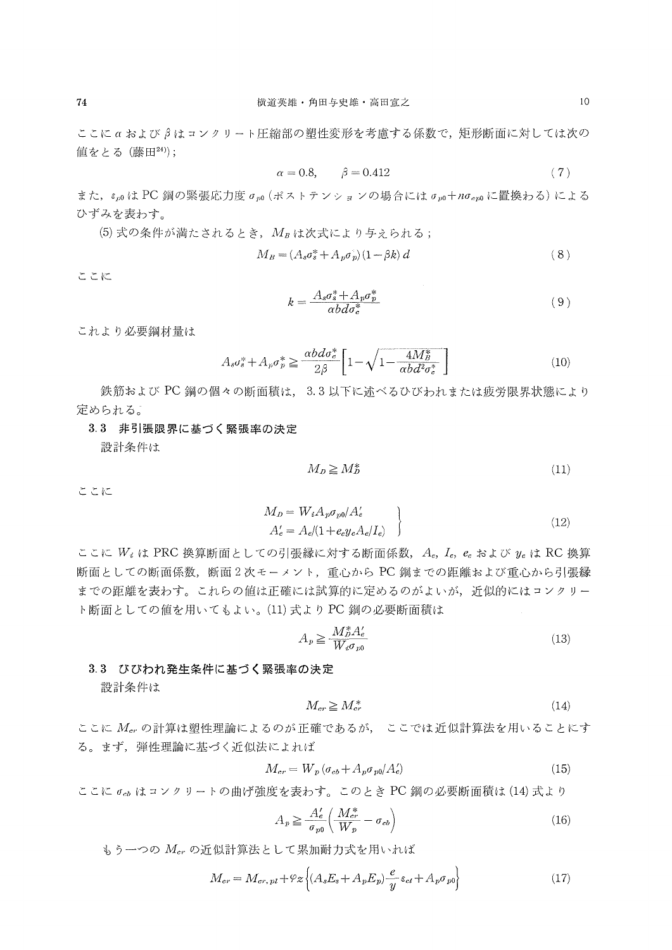ここにαおよびβはコンクリート圧縮部の塑性変形を考慮する係数で,矩形断面に対しては次の 値をとる(藤田24));

$$
\alpha = 0.8, \qquad \beta = 0.412 \tag{7}
$$

また,  $\varepsilon_{p0}$ はPC 鋼の緊張応力度  $\sigma_{p0}$  (ポストテンションの場合には $\sigma_{p0}$ +n $\sigma_{c}$ のに置換わる)による ひずみを表わす。

(5) 式の条件が満たされるとき、 $M_B$ は次式により与えられる;

$$
M_B = (A_s \sigma_s^* + A_p \sigma_p^*) (1 - \beta k) d \tag{8}
$$

ここに

$$
k = \frac{A_s \sigma_s^* + A_p \sigma_p^*}{\alpha b d \sigma_c^*} \tag{9}
$$

これより必要鋼材量は

$$
A_s \sigma_s^* + A_p \sigma_p^* \ge \frac{\alpha b d \sigma_c^*}{2\beta} \left[ 1 - \sqrt{1 - \frac{4M_B^*}{\alpha b d^2 \sigma_c^*}} \right] \tag{10}
$$

鉄筋および PC 鋼の個々の断面積は、3.3 以下に述べるひびわれまたは疲労限界状態により 定められる。'

## 3.3 非引張限界に基づく緊張率の決定

設計条件は

$$
M_D \ge M_D^* \tag{11}
$$

ここに

$$
M_D = W_i A_p \sigma_{p0} / A'_e
$$
  
\n
$$
A'_e = A_e / (1 + e_e y_e A_e / I_e)
$$
 (12)

ここに  $W_i$  は PRC 換算断面としての引張縁に対する断面係数,  $A_e$ ,  $I_e$ ,  $e_e$  および  $y_e$  は RC 換算 断面としての断面係数,断面2次モーメント,重心からPC鋼までの距離および重心から引張縁 までの距離を表わす。これらの値は正確には試算的に定めるのがよいが、近似的にはコンクリー ト断面としての値を用いてもよい。(11) 式より PC 鋼の必要断面積は

$$
A_p \ge \frac{M_p^* A_e'}{W_i \sigma_{p0}}\tag{13}
$$

#### 3.3 びびわれ発生条件に基づく緊張率の決定

設計条件は

$$
M_{cr} \ge M_{cr}^* \tag{14}
$$

ここに  $M_{cr}$ の計算は塑性理論によるのが正確であるが、ここでは近似計算法を用いることにす る。まず,弾性理論に基づく近似法によれば

$$
M_{cr} = W_p \left(\sigma_{cb} + A_p \sigma_{p0} / A_c'\right) \tag{15}
$$

ここに  $\sigma_{ab}$  はコンクリートの曲げ強度を表わす。このとき PC 鋼の必要断面積は(14)式より

$$
A_p \ge \frac{A'_e}{\sigma_{p0}} \left( \frac{M_{cr}^*}{W_p} - \sigma_{cb} \right) \tag{16}
$$

もう一つの $M_{cr}$ の近似計算法として累加耐力式を用いれば

$$
M_{cr} = M_{cr, \, pl} + \varphi_z \left\{ (A_s E_s + A_p E_p) \frac{e}{y} \varepsilon_{ct} + A_p \sigma_{p0} \right\} \tag{17}
$$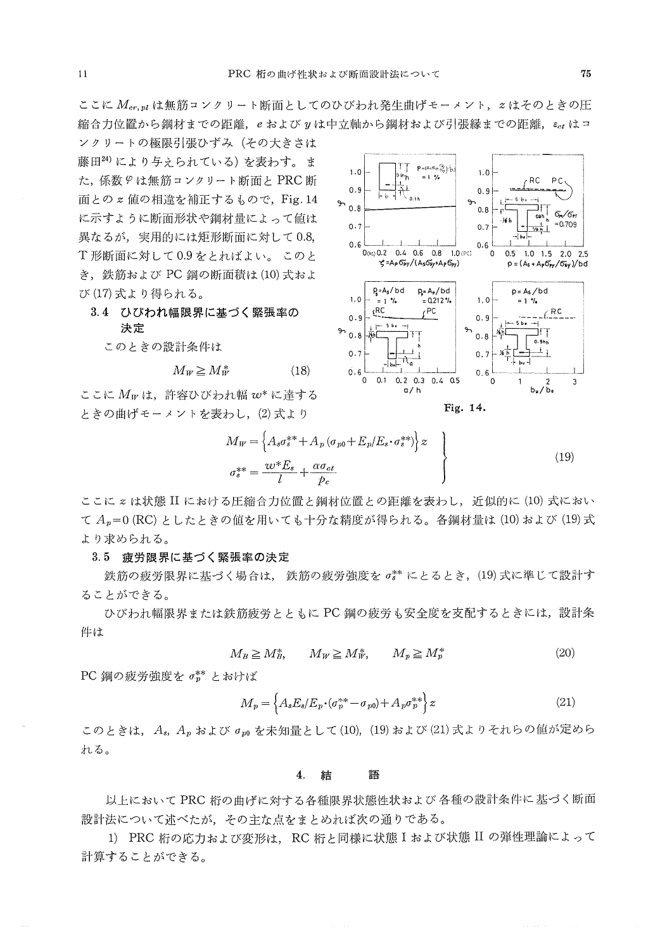ここに Mcr.mlは無筋コンクリート断面としてのひびわれ発生曲げモーメント、zはそのときの圧 縮合力位置から鋼材までの距離、eおよびyは中立軸から鋼材および引張縁までの距離、εαはコ

ンクリートの極限引張ひずみ (その大きさは 藤田24)により与えられている)を表わす。ま た、係数 9 は無筋コンクリート断面と PRC 断 面との z 値の相違を補正するもので、Fig. 14 に示すように断面形状や鋼材量によって値は 異なるが、実用的には矩形断面に対して0.8, T形断面に対して0.9をとればよい。 このと き、鉄筋および PC 鋼の断面積は (10) 式およ び(17)式より得られる。

3.4 ひびわれ幅限界に基づく緊張率の

決定

このときの設計条件は

$$
M_W \ge M_W^* \tag{18}
$$

ここに Mwは、許容ひびわれ幅 w\* に達する ときの曲げモーメントを表わし、(2)式より



Fig. 14.

$$
M_W = \left\{ A_s \sigma_s^{**} + A_p (\sigma_{p0} + E_p / E_s \cdot \sigma_s^{**}) \right\} z
$$
  

$$
\sigma_s^{**} = \frac{w^* E_s}{l} + \frac{\alpha \sigma_{ct}}{p_c}
$$
 (19)

ここに z は状態 II における圧縮合力位置と鋼材位置との距離を表わし、近似的に (10) 式におい て  $A_p = 0$  (RC) としたときの値を用いても十分な精度が得られる。各鋼材量は (10) および (19) 式 より求められる。

#### 3.5 疲労限界に基づく緊張率の決定

鉄筋の疲労限界に基づく場合は、鉄筋の疲労強度を o\*\* にとるとき, (19)式に準じて設計す ることができる。

ひびわれ幅限界または鉄筋疲労とともに PC 鋼の疲労も安全度を支配するときには、設計条 件は

$$
M_B \ge M_B^*, \qquad M_W \ge M_W^*, \qquad M_p \ge M_p^* \tag{20}
$$

PC 鋼の疲労強度を $\sigma^{**}_{p}$ とおけば

$$
M_p = \left\{ A_s E_s / E_p \cdot (\sigma_p^{**} - \sigma_{p0}) + A_p \sigma_p^{**} \right\} z \tag{21}
$$

このときは、A。A、および om を未知量として(10), (19) および(21) 式よりそれらの値が定めら れる。

#### 4. 結 語

以上において PRC 桁の曲げに対する各種限界状態性状および 各種の設計条件に基づく断面 設計法について述べたが、その主な点をまとめれば次の通りである。

1) PRC 桁の応力および変形は、RC 桁と同様に状態 I および状態 II の弾性理論によって 計算することができる。

 $11$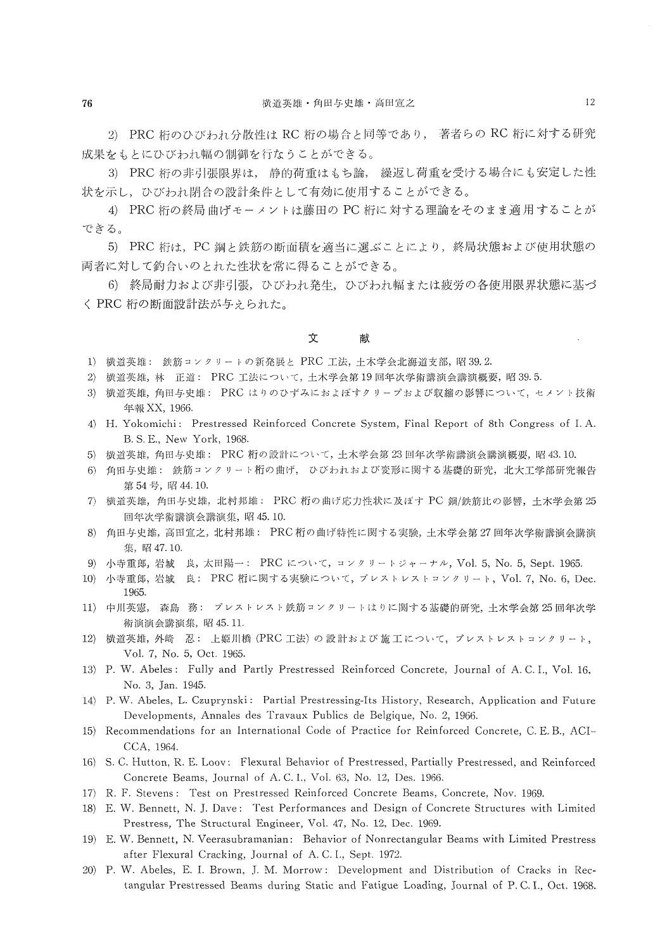2) PRC 桁のひびわれ分散性は RC 桁の場合と同等であり, 著者らの RC 桁に対する研究 成果をもとにひびわれ幅の制御を行なうことができる。

3) PRC 桁の非引張限界は, 静的荷重はもち論, 繰返し荷重を受ける場合にも安定した性 状を示し,ひびわれ閉合の設計条件として有効に使用することができる。

4) PRC 桁の終局曲げモーメントは藤田の PC 桁に対する理論をそのまま適用することが できる。

 5)PRC桁は, PC鋼と鉄筋の断面積を適当に選ぶことにより,終局状態および使用状態の 両者に対して釣合いのとれた性状を常に得ることができる。

 6)終局耐力および非引張,ひびわれ発生,ひびわれ幅または疲労の各使用限界状態に基づ く PRC 桁の断面設計法が与えられた。

#### 文 献

- 1) 横道英雄: 鉄筋コンクリートの新発展と PRC 工法,土木学会北海道支部,昭39.2.
- 2) 横道英雄,林 正道: PRC工法について,土木学会第19回年次学術講演会講演概要,昭39.5.
- 3) 横道英雄,角田与史雄: PRC はりのひずみにおよぼすクリープおよび収縮の影響について,セメント技術 年報XX,1966.
- 4) H. Yokomichi: Prestressed Reinforced Concrete System, Final Report of 8th Congress of I.A. B. S. E., New York, 1968.
- 5) 横道英雄,角田与史雄: PRC 桁の設計について,土木学会第23回年次学術講演会講演概要,昭43.10.
- 6)角田与史雄:鉄筋コンクリート桁の曲げ,ひびわれおよび変形に関する基礎的研究,北大工学部研究報告 第54号, 昭44. 10.
- 7>横道英雄,角田一撃史雄,北村邦雄=PRC桁の曲げ応力性状に及ぼすPC鋼/鉄筋比の影響,土木学会第25 圓年次学術講演会講演集,昭45.!0.
- 8>角田与史雄,高田宣之,北村邦雄:PRC桁の曲げ特性に関する実験,土木学会第27回年次学術講演会講演 集,昭47.10。
- 9) 小寺重郎,岩城 良,太田陽一: PRC について,コンクリートジャーナル, Vol. 5, No. 5, Sept. 1965.
- 10) 小寺重郎, 岩城 良: PRC 桁に関する実験について, プレストレストコンクリート, Vol. 7, No. 6, Dec. 1965.
- 11) 中川英憲, 森島 務: プレストレスト鉄筋コンクリートはりに関する基礎的研究,土木学会第25回年次学 術演演会講演集,昭45.11,
- 12) 横道英雄,外崎 忍: 上姫川橋 (PRC工法) の設計および施工について,プレストレストコンクリート, Vol, 7, No. 5, Oct. 1965.
- !3) P. W. Abeles: Fully and Partly Prestressed Reinforced Concrete, Journal of A. C.1., Vol, 16, No. 3, Jan. 1945,
- 14) P. W. Abeles, L. Czuprynski: Partial Prestressing-Its History, Research, Application and Future Developments, Annales des Travaux Publics de Belgique, No. 2, 1966.
- 15) Recommendations for an International Code of Practice for Reinforced Concrete, C. E. B., ACI-cCA, 1964.
- 16) S. C. Hutton, R. E. Loov: Flexural Behavior of Prestressed, Partially Prestressed, and Reinforced Concrete Beams, Journal of A. C. I., Vol. 63, No. 12, Des. 1966.
- 17) R. F. Stevens: Test on Prestressed Reinforced Concrete Beams, Concrete, Nov. 1969.
- 18) E. 'W. Bennett, N. J. Dave : Test Performances and Design of Concrete Structures with Limited Prestress, The Structural Engineer, Vol. 47, No. 12, Dec. 1969.
- 19) E. W. Bennett, N. Veerasubramanian: Behavior of Nonrectangular Beams with Limited Prestress after Flexural Cracking, Journal of A.C.I., Sept. 1972.
- 20) P. W. Abeles, E. I. Brown, J. M. Morrow: Development and Distribution of Cracks in Rectangular Prestressed Beams during Static and Fatigue Loading, Journal of P. C. I., Oct. 1968.